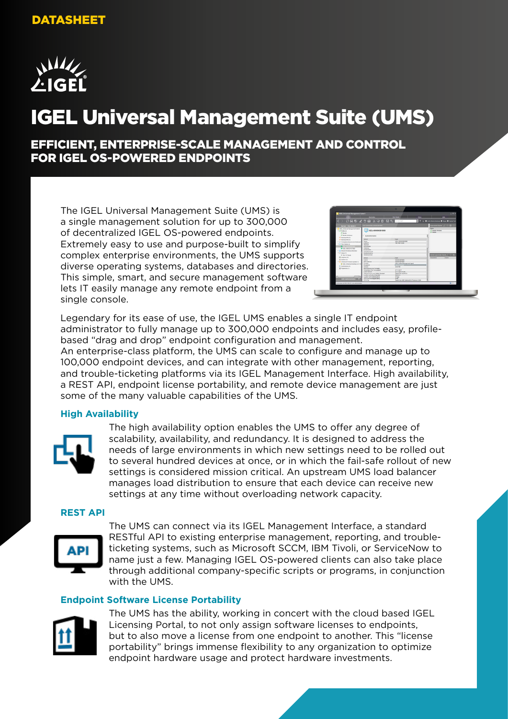

# IGEL Universal Management Suite (UMS)

EFFICIENT, ENTERPRISE-SCALE MANAGEMENT AND CONTROL FOR IGEL OS-POWERED ENDPOINTS

The IGEL Universal Management Suite (UMS) is a single management solution for up to 300,000 of decentralized IGEL OS-powered endpoints. Extremely easy to use and purpose-built to simplify complex enterprise environments, the UMS supports diverse operating systems, databases and directories. This simple, smart, and secure management software lets IT easily manage any remote endpoint from a single console.

| $\begin{array}{c} 0 \boxtimes 0 \end{array}$       |                                                                                                                                                                                                                                                                                                                                                                |                                                                                                                                                                                                                      |                                                                                                                                               |
|----------------------------------------------------|----------------------------------------------------------------------------------------------------------------------------------------------------------------------------------------------------------------------------------------------------------------------------------------------------------------------------------------------------------------|----------------------------------------------------------------------------------------------------------------------------------------------------------------------------------------------------------------------|-----------------------------------------------------------------------------------------------------------------------------------------------|
|                                                    |                                                                                                                                                                                                                                                                                                                                                                | T 1 J. B out-Newstwang B Room B GrowTed                                                                                                                                                                              |                                                                                                                                               |
|                                                    |                                                                                                                                                                                                                                                                                                                                                                |                                                                                                                                                                                                                      |                                                                                                                                               |
|                                                    |                                                                                                                                                                                                                                                                                                                                                                |                                                                                                                                                                                                                      |                                                                                                                                               |
|                                                    |                                                                                                                                                                                                                                                                                                                                                                |                                                                                                                                                                                                                      |                                                                                                                                               |
|                                                    |                                                                                                                                                                                                                                                                                                                                                                | <b>CT Market</b>                                                                                                                                                                                                     |                                                                                                                                               |
|                                                    |                                                                                                                                                                                                                                                                                                                                                                |                                                                                                                                                                                                                      |                                                                                                                                               |
| v Systemisticmation                                |                                                                                                                                                                                                                                                                                                                                                                |                                                                                                                                                                                                                      |                                                                                                                                               |
|                                                    |                                                                                                                                                                                                                                                                                                                                                                |                                                                                                                                                                                                                      |                                                                                                                                               |
|                                                    |                                                                                                                                                                                                                                                                                                                                                                |                                                                                                                                                                                                                      |                                                                                                                                               |
|                                                    |                                                                                                                                                                                                                                                                                                                                                                |                                                                                                                                                                                                                      |                                                                                                                                               |
|                                                    |                                                                                                                                                                                                                                                                                                                                                                |                                                                                                                                                                                                                      |                                                                                                                                               |
| Konmerte                                           |                                                                                                                                                                                                                                                                                                                                                                |                                                                                                                                                                                                                      |                                                                                                                                               |
| Abbitung                                           |                                                                                                                                                                                                                                                                                                                                                                |                                                                                                                                                                                                                      |                                                                                                                                               |
|                                                    |                                                                                                                                                                                                                                                                                                                                                                |                                                                                                                                                                                                                      |                                                                                                                                               |
|                                                    |                                                                                                                                                                                                                                                                                                                                                                |                                                                                                                                                                                                                      |                                                                                                                                               |
|                                                    |                                                                                                                                                                                                                                                                                                                                                                |                                                                                                                                                                                                                      |                                                                                                                                               |
|                                                    |                                                                                                                                                                                                                                                                                                                                                                |                                                                                                                                                                                                                      |                                                                                                                                               |
|                                                    |                                                                                                                                                                                                                                                                                                                                                                |                                                                                                                                                                                                                      |                                                                                                                                               |
|                                                    |                                                                                                                                                                                                                                                                                                                                                                |                                                                                                                                                                                                                      |                                                                                                                                               |
|                                                    |                                                                                                                                                                                                                                                                                                                                                                |                                                                                                                                                                                                                      |                                                                                                                                               |
| <b>M</b> KSEL Universal Desirtog LX-5.10           |                                                                                                                                                                                                                                                                                                                                                                |                                                                                                                                                                                                                      |                                                                                                                                               |
| Venice                                             | 2.82.550                                                                                                                                                                                                                                                                                                                                                       |                                                                                                                                                                                                                      |                                                                                                                                               |
| <b>Beschreibung der Fermesre</b>                   |                                                                                                                                                                                                                                                                                                                                                                |                                                                                                                                                                                                                      |                                                                                                                                               |
|                                                    |                                                                                                                                                                                                                                                                                                                                                                |                                                                                                                                                                                                                      |                                                                                                                                               |
|                                                    |                                                                                                                                                                                                                                                                                                                                                                |                                                                                                                                                                                                                      |                                                                                                                                               |
| 1 Million and Million Newsday                      | <b>ARIO AT</b>                                                                                                                                                                                                                                                                                                                                                 |                                                                                                                                                                                                                      |                                                                                                                                               |
| Laufort cet Inbeltiebrahme                         | 0 Tate                                                                                                                                                                                                                                                                                                                                                         |                                                                                                                                                                                                                      |                                                                                                                                               |
|                                                    |                                                                                                                                                                                                                                                                                                                                                                |                                                                                                                                                                                                                      |                                                                                                                                               |
| <b>CPU Ces their direct direct</b><br><b>CPUTA</b> | 2700<br>Guard Core AND Ontamodes) Processor 2344                                                                                                                                                                                                                                                                                                               | ×                                                                                                                                                                                                                    |                                                                                                                                               |
| * X Templates (Nicesel and Wednesdow)              | ORRESTORAGE JANUARY 1990<br>KIEL 4050563R1R9D<br>ABOUT<br>Name<br><b>Lette IP</b><br><b>Standard</b><br>Koulanubila<br><b>Investigation man</b><br><b>International</b><br>Seletounine<br>ABIOLE!<br>Use in<br>MA <sup>T</sup> -Arkansa<br><b>PubMan</b><br>PHAMED<br>Abbefolken der Subscription<br>Lebta Statisti<br><b>Nathandogma haim lahkan Naustraf</b> | Warf<br>IGEL-005054381890<br><b>152 168 10 240</b><br><b>YH1</b><br>GOADAKING MINOR<br>009105130100<br><b>ISEL Unded Management Agent</b><br><b>COD</b><br>07.11.2017<br>27.11.2016 15:26<br>DESCRIPTION AND INCOME. | Convenience / C (6)<br><b>Storms</b><br><b>If Maybe Windows</b><br><b>Green Associates Classic</b> (C)<br><b>Contractivity</b><br><b>Name</b> |

Legendary for its ease of use, the IGEL UMS enables a single IT endpoint administrator to fully manage up to 300,000 endpoints and includes easy, profilebased "drag and drop" endpoint configuration and management.

An enterprise-class platform, the UMS can scale to configure and manage up to 100,000 endpoint devices, and can integrate with other management, reporting, and trouble-ticketing platforms via its IGEL Management Interface. High availability, a REST API, endpoint license portability, and remote device management are just some of the many valuable capabilities of the UMS.

# **High Availability**



The high availability option enables the UMS to offer any degree of scalability, availability, and redundancy. It is designed to address the needs of large environments in which new settings need to be rolled out to several hundred devices at once, or in which the fail-safe rollout of new settings is considered mission critical. An upstream UMS load balancer manages load distribution to ensure that each device can receive new settings at any time without overloading network capacity.

#### **REST API**



The UMS can connect via its IGEL Management Interface, a standard RESTful API to existing enterprise management, reporting, and troubleticketing systems, such as Microsoft SCCM, IBM Tivoli, or ServiceNow to name just a few. Managing IGEL OS-powered clients can also take place through additional company-specific scripts or programs, in conjunction with the UMS.

# **Endpoint Software License Portability**



The UMS has the ability, working in concert with the cloud based IGEL Licensing Portal, to not only assign software licenses to endpoints, but to also move a license from one endpoint to another. This "license portability" brings immense flexibility to any organization to optimize endpoint hardware usage and protect hardware investments.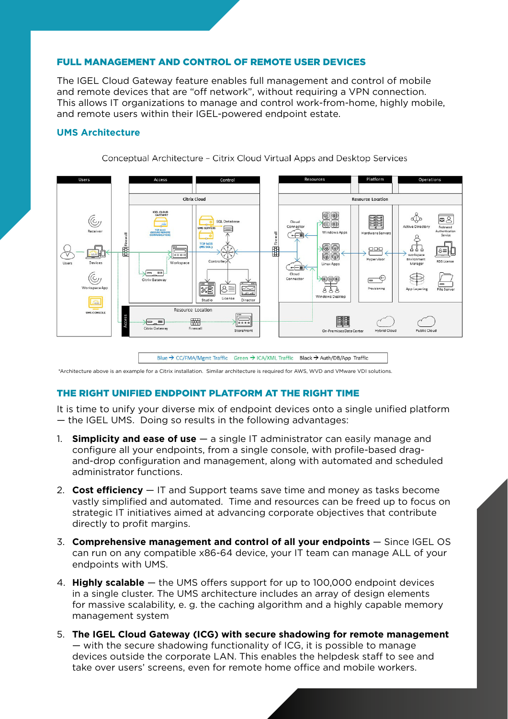# FULL MANAGEMENT AND CONTROL OF REMOTE USER DEVICES

The IGEL Cloud Gateway feature enables full management and control of mobile and remote devices that are "off network", without requiring a VPN connection. This allows IT organizations to manage and control work-from-home, highly mobile, and remote users within their IGEL-powered endpoint estate.

#### **UMS Architecture**

Conceptual Architecture - Citrix Cloud Virtual Apps and Desktop Services



Blue  $\rightarrow$  CC/FMA/Memt Traffic Green  $\rightarrow$  ICA/XML Traffic Black  $\rightarrow$  Auth/DB/App Traffic

\*Architecture above is an example for a Citrix installation. Similar architecture is required for AWS, WVD and VMware VDI solutions.

# THE RIGHT UNIFIED ENDPOINT PLATFORM AT THE RIGHT TIME

It is time to unify your diverse mix of endpoint devices onto a single unified platform — the IGEL UMS. Doing so results in the following advantages:

- 1. **Simplicity and ease of use** a single IT administrator can easily manage and configure all your endpoints, from a single console, with profile-based dragand-drop configuration and management, along with automated and scheduled administrator functions.
- 2. **Cost efficiency** IT and Support teams save time and money as tasks become vastly simplified and automated. Time and resources can be freed up to focus on strategic IT initiatives aimed at advancing corporate objectives that contribute directly to profit margins.
- 3. **Comprehensive management and control of all your endpoints** Since IGEL OS can run on any compatible x86-64 device, your IT team can manage ALL of your endpoints with UMS.
- 4. **Highly scalable** the UMS offers support for up to 100,000 endpoint devices in a single cluster. The UMS architecture includes an array of design elements for massive scalability, e. g. the caching algorithm and a highly capable memory management system
- 5. **The IGEL Cloud Gateway (ICG) with secure shadowing for remote management**  — with the secure shadowing functionality of ICG, it is possible to manage devices outside the corporate LAN. This enables the helpdesk staff to see and take over users' screens, even for remote home office and mobile workers.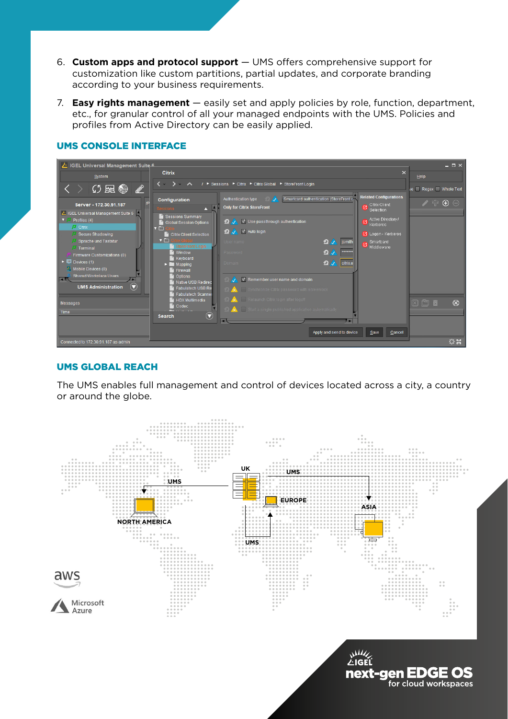- 6. **Custom apps and protocol support**  UMS offers comprehensive support for customization like custom partitions, partial updates, and corporate branding according to your business requirements.
- 7. **Easy rights management** easily set and apply policies by role, function, department, etc., for granular control of all your managed endpoints with the UMS. Policies and profiles from Active Directory can be easily applied.



# UMS CONSOLE INTERFACE

# UMS GLOBAL REACH

The UMS enables full management and control of devices located across a city, a country or around the globe.



next-gen EDGE OS for cloud workspaces